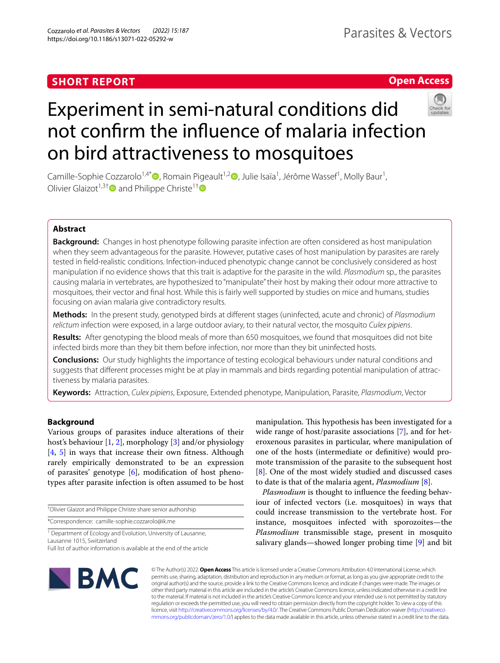## **SHORT REPORT**

## **Open Access**



# Experiment in semi-natural conditions did not confrm the infuence of malaria infection on bird attractiveness to mosquitoes

Camille-Sophie Cozzarolo<sup>1,4[\\*](http://orcid.org/0000-0002-9056-8622)</sup>®, Romain Pigeault<sup>1,[2](http://orcid.org/0000-0002-8011-4600)</sup>®, Julie Isaïa<sup>1</sup>, Jérôme Wassef<sup>1</sup>, Molly Baur<sup>1</sup>, Olivier Glaizot<sup>1,3†</sup> and Philippe Christe<sup>1†</sup>

## **Abstract**

**Background:** Changes in host phenotype following parasite infection are often considered as host manipulation when they seem advantageous for the parasite. However, putative cases of host manipulation by parasites are rarely tested in feld-realistic conditions. Infection-induced phenotypic change cannot be conclusively considered as host manipulation if no evidence shows that this trait is adaptive for the parasite in the wild. *Plasmodium* sp., the parasites causing malaria in vertebrates, are hypothesized to "manipulate" their host by making their odour more attractive to mosquitoes, their vector and fnal host. While this is fairly well supported by studies on mice and humans, studies focusing on avian malaria give contradictory results.

**Methods:** In the present study, genotyped birds at diferent stages (uninfected, acute and chronic) of *Plasmodium relictum* infection were exposed, in a large outdoor aviary, to their natural vector, the mosquito *Culex pipiens*.

**Results:** After genotyping the blood meals of more than 650 mosquitoes, we found that mosquitoes did not bite infected birds more than they bit them before infection, nor more than they bit uninfected hosts.

**Conclusions:** Our study highlights the importance of testing ecological behaviours under natural conditions and suggests that different processes might be at play in mammals and birds regarding potential manipulation of attractiveness by malaria parasites.

**Keywords:** Attraction, *Culex pipiens*, Exposure, Extended phenotype, Manipulation, Parasite, *Plasmodium*, Vector

## **Background**

Various groups of parasites induce alterations of their host's behaviour [\[1](#page-5-0), [2\]](#page-5-1), morphology [\[3](#page-5-2)] and/or physiology [[4,](#page-5-3) [5\]](#page-5-4) in ways that increase their own ftness. Although rarely empirically demonstrated to be an expression of parasites' genotype  $[6]$  $[6]$ , modification of host phenotypes after parasite infection is often assumed to be host

† Olivier Glaizot and Philippe Christe share senior authorship

\*Correspondence: camille-sophie.cozzarolo@ik.me

<sup>1</sup> Department of Ecology and Evolution, University of Lausanne, Lausanne 1015, Switzerland

Full list of author information is available at the end of the article

manipulation. This hypothesis has been investigated for a wide range of host/parasite associations [[7\]](#page-5-6), and for heteroxenous parasites in particular, where manipulation of one of the hosts (intermediate or defnitive) would promote transmission of the parasite to the subsequent host [[8\]](#page-5-7). One of the most widely studied and discussed cases to date is that of the malaria agent, *Plasmodium* [\[8\]](#page-5-7).

*Plasmodium* is thought to infuence the feeding behaviour of infected vectors (i.e. mosquitoes) in ways that could increase transmission to the vertebrate host. For instance, mosquitoes infected with sporozoites—the *Plasmodium* transmissible stage, present in mosquito salivary glands—showed longer probing time [\[9\]](#page-5-8) and bit



© The Author(s) 2022. **Open Access** This article is licensed under a Creative Commons Attribution 4.0 International License, which permits use, sharing, adaptation, distribution and reproduction in any medium or format, as long as you give appropriate credit to the original author(s) and the source, provide a link to the Creative Commons licence, and indicate if changes were made. The images or other third party material in this article are included in the article's Creative Commons licence, unless indicated otherwise in a credit line to the material. If material is not included in the article's Creative Commons licence and your intended use is not permitted by statutory regulation or exceeds the permitted use, you will need to obtain permission directly from the copyright holder. To view a copy of this licence, visit [http://creativecommons.org/licenses/by/4.0/.](http://creativecommons.org/licenses/by/4.0/) The Creative Commons Public Domain Dedication waiver ([http://creativeco](http://creativecommons.org/publicdomain/zero/1.0/) [mmons.org/publicdomain/zero/1.0/](http://creativecommons.org/publicdomain/zero/1.0/)) applies to the data made available in this article, unless otherwise stated in a credit line to the data.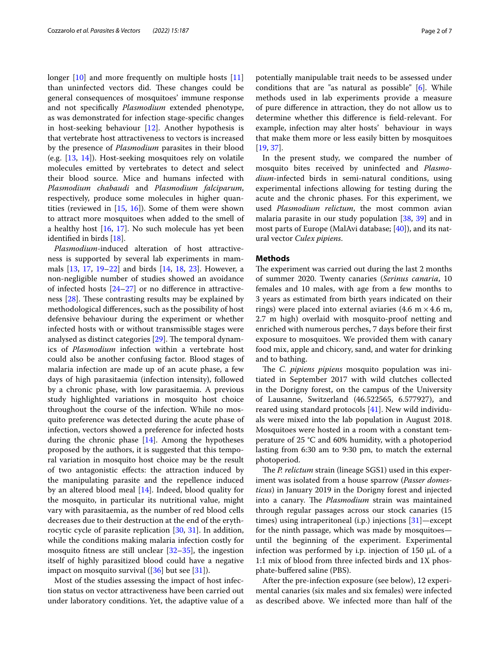longer [[10\]](#page-5-9) and more frequently on multiple hosts [[11](#page-5-10)] than uninfected vectors did. These changes could be general consequences of mosquitoes' immune response and not specifcally *Plasmodium* extended phenotype, as was demonstrated for infection stage-specifc changes in host-seeking behaviour [[12](#page-5-11)]. Another hypothesis is that vertebrate host attractiveness to vectors is increased by the presence of *Plasmodium* parasites in their blood (e.g. [[13](#page-5-12), [14](#page-5-13)]). Host-seeking mosquitoes rely on volatile molecules emitted by vertebrates to detect and select their blood source. Mice and humans infected with *Plasmodium chabaudi* and *Plasmodium falciparum*, respectively, produce some molecules in higher quantities (reviewed in  $[15, 16]$  $[15, 16]$  $[15, 16]$ ). Some of them were shown to attract more mosquitoes when added to the smell of a healthy host [[16,](#page-5-15) [17](#page-5-16)]. No such molecule has yet been identifed in birds [\[18](#page-5-17)].

*Plasmodium*-induced alteration of host attractiveness is supported by several lab experiments in mammals [[13,](#page-5-12) [17](#page-5-16), [19](#page-5-18)[–22\]](#page-6-0) and birds [\[14](#page-5-13), [18,](#page-5-17) [23\]](#page-6-1). However, a non-negligible number of studies showed an avoidance of infected hosts  $[24-27]$  $[24-27]$  $[24-27]$  or no difference in attractiveness  $[28]$  $[28]$  $[28]$ . These contrasting results may be explained by methodological diferences, such as the possibility of host defensive behaviour during the experiment or whether infected hosts with or without transmissible stages were analysed as distinct categories  $[29]$  $[29]$ . The temporal dynamics of *Plasmodium* infection within a vertebrate host could also be another confusing factor. Blood stages of malaria infection are made up of an acute phase, a few days of high parasitaemia (infection intensity), followed by a chronic phase, with low parasitaemia. A previous study highlighted variations in mosquito host choice throughout the course of the infection. While no mosquito preference was detected during the acute phase of infection, vectors showed a preference for infected hosts during the chronic phase  $[14]$  $[14]$  $[14]$ . Among the hypotheses proposed by the authors, it is suggested that this temporal variation in mosquito host choice may be the result of two antagonistic efects: the attraction induced by the manipulating parasite and the repellence induced by an altered blood meal [[14\]](#page-5-13). Indeed, blood quality for the mosquito, in particular its nutritional value, might vary with parasitaemia, as the number of red blood cells decreases due to their destruction at the end of the erythrocytic cycle of parasite replication [[30,](#page-6-6) [31\]](#page-6-7). In addition, while the conditions making malaria infection costly for mosquito fitness are still unclear  $[32-35]$  $[32-35]$ , the ingestion itself of highly parasitized blood could have a negative impact on mosquito survival  $([36]$  $([36]$  $([36]$  but see  $[31]$  $[31]$ ).

Most of the studies assessing the impact of host infection status on vector attractiveness have been carried out under laboratory conditions. Yet, the adaptive value of a potentially manipulable trait needs to be assessed under conditions that are "as natural as possible" [\[6](#page-5-5)]. While methods used in lab experiments provide a measure of pure diference in attraction, they do not allow us to determine whether this diference is feld-relevant. For example, infection may alter hosts' behaviour in ways that make them more or less easily bitten by mosquitoes [[19,](#page-5-18) [37](#page-6-11)].

In the present study, we compared the number of mosquito bites received by uninfected and *Plasmodium*-infected birds in semi-natural conditions, using experimental infections allowing for testing during the acute and the chronic phases. For this experiment, we used *Plasmodium relictum*, the most common avian malaria parasite in our study population [\[38,](#page-6-12) [39](#page-6-13)] and in most parts of Europe (MalAvi database; [[40\]](#page-6-14)), and its natural vector *Culex pipiens*.

#### **Methods**

The experiment was carried out during the last 2 months of summer 2020. Twenty canaries (*Serinus canaria*, 10 females and 10 males, with age from a few months to 3 years as estimated from birth years indicated on their rings) were placed into external aviaries (4.6 m  $\times$  4.6 m, 2.7 m high) overlaid with mosquito-proof netting and enriched with numerous perches, 7 days before their frst exposure to mosquitoes. We provided them with canary food mix, apple and chicory, sand, and water for drinking and to bathing.

The *C. pipiens pipiens* mosquito population was initiated in September 2017 with wild clutches collected in the Dorigny forest, on the campus of the University of Lausanne, Switzerland (46.522565, 6.577927), and reared using standard protocols [\[41](#page-6-15)]. New wild individuals were mixed into the lab population in August 2018. Mosquitoes were hosted in a room with a constant temperature of 25 °C and 60% humidity, with a photoperiod lasting from 6:30 am to 9:30 pm, to match the external photoperiod.

The *P. relictum* strain (lineage SGS1) used in this experiment was isolated from a house sparrow (*Passer domesticus*) in January 2019 in the Dorigny forest and injected into a canary. The *Plasmodium* strain was maintained through regular passages across our stock canaries (15 times) using intraperitoneal (i.p.) injections [\[31\]](#page-6-7)—except for the ninth passage, which was made by mosquitoes until the beginning of the experiment. Experimental infection was performed by i.p. injection of 150  $\mu$ L of a 1:1 mix of blood from three infected birds and 1X phosphate-buffered saline (PBS).

After the pre-infection exposure (see below), 12 experimental canaries (six males and six females) were infected as described above. We infected more than half of the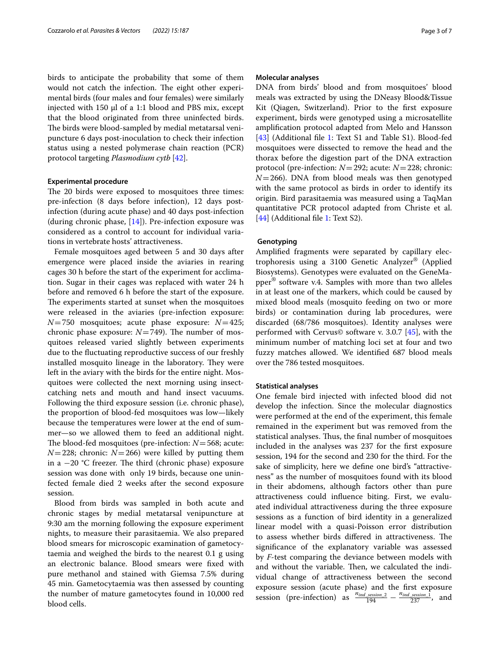birds to anticipate the probability that some of them would not catch the infection. The eight other experimental birds (four males and four females) were similarly injected with 150 µl of a 1:1 blood and PBS mix, except that the blood originated from three uninfected birds. The birds were blood-sampled by medial metatarsal venipuncture 6 days post-inoculation to check their infection status using a nested polymerase chain reaction (PCR) protocol targeting *Plasmodium cytb* [[42](#page-6-16)].

### **Experimental procedure**

The 20 birds were exposed to mosquitoes three times: pre-infection (8 days before infection), 12 days postinfection (during acute phase) and 40 days post-infection (during chronic phase,  $[14]$  $[14]$ ). Pre-infection exposure was considered as a control to account for individual variations in vertebrate hosts' attractiveness.

Female mosquitoes aged between 5 and 30 days after emergence were placed inside the aviaries in rearing cages 30 h before the start of the experiment for acclimation. Sugar in their cages was replaced with water 24 h before and removed 6 h before the start of the exposure. The experiments started at sunset when the mosquitoes were released in the aviaries (pre-infection exposure: *N*=750 mosquitoes; acute phase exposure: *N*=425; chronic phase exposure:  $N=749$ ). The number of mosquitoes released varied slightly between experiments due to the fuctuating reproductive success of our freshly installed mosquito lineage in the laboratory. They were left in the aviary with the birds for the entire night. Mosquitoes were collected the next morning using insectcatching nets and mouth and hand insect vacuums. Following the third exposure session (i.e. chronic phase), the proportion of blood-fed mosquitoes was low—likely because the temperatures were lower at the end of summer—so we allowed them to feed an additional night. The blood-fed mosquitoes (pre-infection:  $N = 568$ ; acute:  $N=228$ ; chronic:  $N=266$ ) were killed by putting them in a  $-20$  °C freezer. The third (chronic phase) exposure session was done with only 19 birds, because one uninfected female died 2 weeks after the second exposure session.

Blood from birds was sampled in both acute and chronic stages by medial metatarsal venipuncture at 9:30 am the morning following the exposure experiment nights, to measure their parasitaemia. We also prepared blood smears for microscopic examination of gametocytaemia and weighed the birds to the nearest 0.1 g using an electronic balance. Blood smears were fxed with pure methanol and stained with Giemsa 7.5% during 45 min. Gametocytaemia was then assessed by counting the number of mature gametocytes found in 10,000 red blood cells.

#### **Molecular analyses**

DNA from birds' blood and from mosquitoes' blood meals was extracted by using the DNeasy Blood&Tissue Kit (Qiagen, Switzerland). Prior to the frst exposure experiment, birds were genotyped using a microsatellite amplifcation protocol adapted from Melo and Hansson [[43\]](#page-6-17) (Additional file [1](#page-5-19): Text S1 and Table S1). Blood-fed mosquitoes were dissected to remove the head and the thorax before the digestion part of the DNA extraction protocol (pre-infection: *N*=292; acute: *N*=228; chronic:  $N=266$ ). DNA from blood meals was then genotyped with the same protocol as birds in order to identify its origin. Bird parasitaemia was measured using a TaqMan quantitative PCR protocol adapted from Christe et al. [[44\]](#page-6-18) (Additional file [1:](#page-5-19) Text S2).

#### **Genotyping**

Amplifed fragments were separated by capillary electrophoresis using a 3100 Genetic Analyzer® (Applied Biosystems). Genotypes were evaluated on the GeneMapper® software v.4. Samples with more than two alleles in at least one of the markers, which could be caused by mixed blood meals (mosquito feeding on two or more birds) or contamination during lab procedures, were discarded (68/786 mosquitoes). Identity analyses were performed with Cervus© software v. 3.0.7 [[45](#page-6-19)], with the minimum number of matching loci set at four and two fuzzy matches allowed. We identifed 687 blood meals over the 786 tested mosquitoes.

#### **Statistical analyses**

One female bird injected with infected blood did not develop the infection. Since the molecular diagnostics were performed at the end of the experiment, this female remained in the experiment but was removed from the statistical analyses. Thus, the final number of mosquitoes included in the analyses was 237 for the frst exposure session, 194 for the second and 230 for the third. For the sake of simplicity, here we defne one bird's "attractiveness" as the number of mosquitoes found with its blood in their abdomens, although factors other than pure attractiveness could infuence biting. First, we evaluated individual attractiveness during the three exposure sessions as a function of bird identity in a generalized linear model with a quasi-Poisson error distribution to assess whether birds differed in attractiveness. The signifcance of the explanatory variable was assessed by *F*-test comparing the deviance between models with and without the variable. Then, we calculated the individual change of attractiveness between the second exposure session (acute phase) and the frst exposure session (pre-infection) as  $\frac{n_{ind\_session}}{194} - \frac{n_{ind\_sension}}{237}$ , and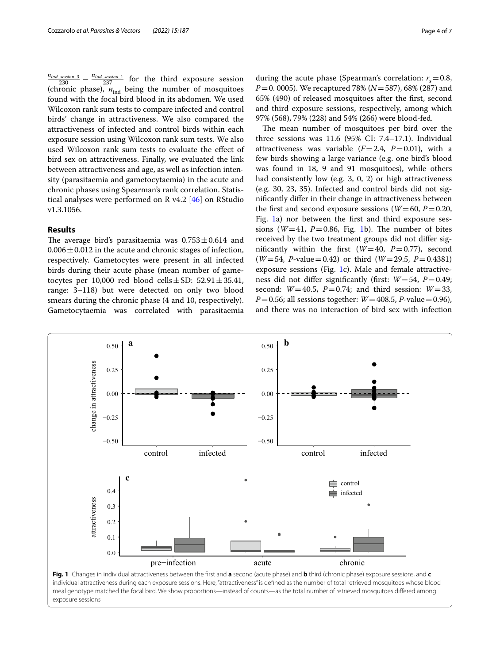$\frac{n_{ind\_session\_3}}{230} - \frac{n_{ind\_session\_1}}{237}$  for the third exposure session (chronic phase),  $n_{ind}$  being the number of mosquitoes found with the focal bird blood in its abdomen. We used Wilcoxon rank sum tests to compare infected and control birds' change in attractiveness. We also compared the attractiveness of infected and control birds within each exposure session using Wilcoxon rank sum tests. We also used Wilcoxon rank sum tests to evaluate the efect of bird sex on attractiveness. Finally, we evaluated the link between attractiveness and age, as well as infection intensity (parasitaemia and gametocytaemia) in the acute and chronic phases using Spearman's rank correlation. Statistical analyses were performed on R v4.2 [\[46](#page-6-20)] on RStudio v1.3.1056.

#### **Results**

The average bird's parasitaemia was  $0.753 \pm 0.614$  and  $0.006 \pm 0.012$  in the acute and chronic stages of infection, respectively. Gametocytes were present in all infected birds during their acute phase (mean number of gametocytes per 10,000 red blood cells $\pm$ SD: 52.91 $\pm$ 35.41, range: 3–118) but were detected on only two blood smears during the chronic phase (4 and 10, respectively). Gametocytaemia was correlated with parasitaemia

during the acute phase (Spearman's correlation:  $r_s = 0.8$ , *P*=0. 0005). We recaptured 78% (*N*=587), 68% (287) and 65% (490) of released mosquitoes after the frst, second and third exposure sessions, respectively, among which 97% (568), 79% (228) and 54% (266) were blood-fed.

The mean number of mosquitoes per bird over the three sessions was 11.6 (95% CI: 7.4–17.1). Individual attractiveness was variable  $(F=2.4, P=0.01)$ , with a few birds showing a large variance (e.g. one bird's blood was found in 18, 9 and 91 mosquitoes), while others had consistently low (e.g. 3, 0, 2) or high attractiveness (e.g. 30, 23, 35). Infected and control birds did not signifcantly difer in their change in attractiveness between the first and second exposure sessions ( $W=60$ ,  $P=0.20$ , Fig. [1a](#page-3-0)) nor between the frst and third exposure sessions ( $W=41$ ,  $P=0.86$ , Fig. [1b](#page-3-0)). The number of bites received by the two treatment groups did not difer significantly within the first  $(W=40, P=0.77)$ , second (*W*=54, *P*-value=0.42) or third (*W*=29.5, *P*=0.4381) exposure sessions (Fig. [1c](#page-3-0)). Male and female attractiveness did not difer signifcantly (frst: *W*=54, *P*=0.49; second:  $W=40.5$ ,  $P=0.74$ ; and third session:  $W=33$ , *P*=0.56; all sessions together: *W*=408.5, *P*-value=0.96), and there was no interaction of bird sex with infection



<span id="page-3-0"></span>individual attractiveness during each exposure sessions. Here, "attractiveness" is defned as the number of total retrieved mosquitoes whose blood meal genotype matched the focal bird. We show proportions—instead of counts—as the total number of retrieved mosquitoes difered among exposure sessions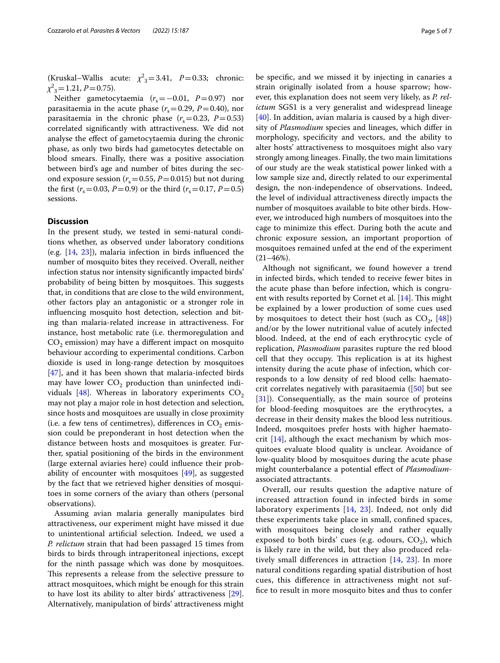(Kruskal–Wallis acute:  $\chi^2$ <sub>3</sub>=3.41, *P*=0.33; chronic:  $\chi^2_{3} = 1.21, P = 0.75$ .

Neither gametocytaemia ( $r<sub>s</sub>$ =−0.01, *P*=0.97) nor parasitaemia in the acute phase  $(r<sub>s</sub>=0.29, P=0.40)$ , nor parasitaemia in the chronic phase  $(r<sub>s</sub>=0.23, P=0.53)$ correlated signifcantly with attractiveness. We did not analyse the efect of gametocytaemia during the chronic phase, as only two birds had gametocytes detectable on blood smears. Finally, there was a positive association between bird's age and number of bites during the second exposure session ( $r_s$  = 0.55, *P* = 0.015) but not during the first ( $r_s$ =0.03, *P*=0.9) or the third ( $r_s$ =0.17, *P*=0.5) sessions.

#### **Discussion**

In the present study, we tested in semi-natural conditions whether, as observed under laboratory conditions (e.g. [[14,](#page-5-13) [23\]](#page-6-1)), malaria infection in birds infuenced the number of mosquito bites they received. Overall, neither infection status nor intensity signifcantly impacted birds' probability of being bitten by mosquitoes. This suggests that, in conditions that are close to the wild environment, other factors play an antagonistic or a stronger role in infuencing mosquito host detection, selection and biting than malaria-related increase in attractiveness. For instance, host metabolic rate (i.e. thermoregulation and  $CO<sub>2</sub>$  emission) may have a different impact on mosquito behaviour according to experimental conditions. Carbon dioxide is used in long-range detection by mosquitoes [[47\]](#page-6-21), and it has been shown that malaria-infected birds may have lower  $CO<sub>2</sub>$  production than uninfected indi-viduals [[48\]](#page-6-22). Whereas in laboratory experiments  $CO<sub>2</sub>$ may not play a major role in host detection and selection, since hosts and mosquitoes are usually in close proximity (i.e. a few tens of centimetres), differences in  $CO<sub>2</sub>$  emission could be preponderant in host detection when the distance between hosts and mosquitoes is greater. Further, spatial positioning of the birds in the environment (large external aviaries here) could infuence their probability of encounter with mosquitoes [\[49](#page-6-23)], as suggested by the fact that we retrieved higher densities of mosquitoes in some corners of the aviary than others (personal observations).

Assuming avian malaria generally manipulates bird attractiveness, our experiment might have missed it due to unintentional artifcial selection. Indeed, we used a *P. relictum* strain that had been passaged 15 times from birds to birds through intraperitoneal injections, except for the ninth passage which was done by mosquitoes. This represents a release from the selective pressure to attract mosquitoes, which might be enough for this strain to have lost its ability to alter birds' attractiveness [\[29](#page-6-5)]. Alternatively, manipulation of birds' attractiveness might

be specifc, and we missed it by injecting in canaries a strain originally isolated from a house sparrow; however, this explanation does not seem very likely, as *P. relictum* SGS1 is a very generalist and widespread lineage [[40\]](#page-6-14). In addition, avian malaria is caused by a high diversity of *Plasmodium* species and lineages, which difer in morphology, specifcity and vectors, and the ability to alter hosts' attractiveness to mosquitoes might also vary strongly among lineages. Finally, the two main limitations of our study are the weak statistical power linked with a low sample size and, directly related to our experimental design, the non-independence of observations. Indeed, the level of individual attractiveness directly impacts the number of mosquitoes available to bite other birds. However, we introduced high numbers of mosquitoes into the cage to minimize this efect. During both the acute and chronic exposure session, an important proportion of mosquitoes remained unfed at the end of the experiment  $(21-46\%)$ .

Although not signifcant, we found however a trend in infected birds, which tended to receive fewer bites in the acute phase than before infection, which is congruent with results reported by Cornet et al.  $[14]$  $[14]$ . This might be explained by a lower production of some cues used by mosquitoes to detect their host (such as  $CO_2$ , [\[48](#page-6-22)]) and/or by the lower nutritional value of acutely infected blood. Indeed, at the end of each erythrocytic cycle of replication, *Plasmodium* parasites rupture the red blood cell that they occupy. This replication is at its highest intensity during the acute phase of infection, which corresponds to a low density of red blood cells: haematocrit correlates negatively with parasitaemia ([[50](#page-6-24)] but see [[31\]](#page-6-7)). Consequentially, as the main source of proteins for blood-feeding mosquitoes are the erythrocytes, a decrease in their density makes the blood less nutritious. Indeed, mosquitoes prefer hosts with higher haematocrit [[14](#page-5-13)], although the exact mechanism by which mosquitoes evaluate blood quality is unclear. Avoidance of low-quality blood by mosquitoes during the acute phase might counterbalance a potential efect of *Plasmodium*associated attractants.

Overall, our results question the adaptive nature of increased attraction found in infected birds in some laboratory experiments [\[14](#page-5-13), [23\]](#page-6-1). Indeed, not only did these experiments take place in small, confned spaces, with mosquitoes being closely and rather equally exposed to both birds' cues (e.g. odours,  $CO<sub>2</sub>$ ), which is likely rare in the wild, but they also produced relatively small diferences in attraction [[14,](#page-5-13) [23](#page-6-1)]. In more natural conditions regarding spatial distribution of host cues, this diference in attractiveness might not suffce to result in more mosquito bites and thus to confer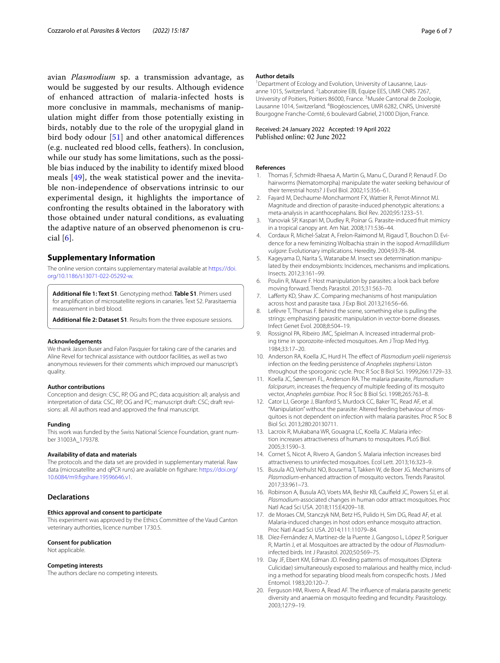avian *Plasmodium* sp. a transmission advantage, as would be suggested by our results. Although evidence of enhanced attraction of malaria-infected hosts is more conclusive in mammals, mechanisms of manipulation might difer from those potentially existing in birds, notably due to the role of the uropygial gland in bird body odour [[51\]](#page-6-25) and other anatomical diferences (e.g. nucleated red blood cells, feathers). In conclusion, while our study has some limitations, such as the possible bias induced by the inability to identify mixed blood meals [[49\]](#page-6-23), the weak statistical power and the inevitable non-independence of observations intrinsic to our experimental design, it highlights the importance of confronting the results obtained in the laboratory with those obtained under natural conditions, as evaluating the adaptive nature of an observed phenomenon is crucial  $[6]$  $[6]$ .

#### **Supplementary Information**

The online version contains supplementary material available at [https://doi.](https://doi.org/10.1186/s13071-022-05292-w) [org/10.1186/s13071-022-05292-w.](https://doi.org/10.1186/s13071-022-05292-w)

<span id="page-5-19"></span>**Additional fle 1: Text S1**. Genotyping method. **Table S1**. Primers used for amplifcation of microsatellite regions in canaries. Text S2. Parasitaemia measurement in bird blood.

**Additional fle 2: Dataset S1**. Results from the three exposure sessions.

#### **Acknowledgements**

We thank Jason Buser and Falon Pasquier for taking care of the canaries and Aline Revel for technical assistance with outdoor facilities, as well as two anonymous reviewers for their comments which improved our manuscript's quality.

#### **Author contributions**

Conception and design: CSC, RP, OG and PC; data acquisition: all; analysis and interpretation of data: CSC, RP, OG and PC; manuscript draft: CSC; draft revisions: all. All authors read and approved the fnal manuscript.

#### **Funding**

This work was funded by the Swiss National Science Foundation, grant number 31003A\_179378.

#### **Availability of data and materials**

The protocols and the data set are provided in supplementary material. Raw data (microsatellite and qPCR runs) are available on fgshare: [https://doi.org/](https://doi.org/10.6084/m9.figshare.19596646.v1) [10.6084/m9.fgshare.19596646.v1](https://doi.org/10.6084/m9.figshare.19596646.v1).

## **Declarations**

#### **Ethics approval and consent to participate**

This experiment was approved by the Ethics Committee of the Vaud Canton veterinary authorities, licence number 1730.5.

#### **Consent for publication**

Not applicable.

#### **Competing interests**

The authors declare no competing interests.

#### **Author details**

<sup>1</sup> Department of Ecology and Evolution, University of Lausanne, Lausanne 1015, Switzerland. <sup>2</sup> Laboratoire EBI, Equipe EES, UMR CNRS 7267, University of Poitiers, Poitiers 86000, France.<sup>3</sup> Musée Cantonal de Zoologie, Lausanne 1014, Switzerland. <sup>4</sup> Biogéosciences, UMR 6282, CNRS, Université Bourgogne Franche-Comté, 6 boulevard Gabriel, 21000 Dijon, France.

## Received: 24 January 2022 Accepted: 19 April 2022

#### **References**

- <span id="page-5-0"></span>1. Thomas F, Schmidt-Rhaesa A, Martin G, Manu C, Durand P, Renaud F. Do hairworms (Nematomorpha) manipulate the water seeking behaviour of their terrestrial hosts? J Evol Biol. 2002;15:356–61.
- <span id="page-5-1"></span>2. Fayard M, Dechaume-Moncharmont FX, Wattier R, Perrot-Minnot MJ. Magnitude and direction of parasite-induced phenotypic alterations: a meta-analysis in acanthocephalans. Biol Rev. 2020;95:1233–51.
- <span id="page-5-2"></span>3. Yanoviak SP, Kaspari M, Dudley R, Poinar G. Parasite-induced fruit mimicry in a tropical canopy ant. Am Nat. 2008;171:536–44.
- <span id="page-5-3"></span>4. Cordaux R, Michel-Salzat A, Frelon-Raimond M, Rigaud T, Bouchon D. Evidence for a new feminizing Wolbachia strain in the isopod *Armadillidium vulgare*: Evolutionary implications. Heredity. 2004;93:78–84.
- <span id="page-5-4"></span>5. Kageyama D, Narita S, Watanabe M. Insect sex determination manipulated by their endosymbionts: Incidences, mechanisms and implications. Insects. 2012;3:161–99.
- <span id="page-5-5"></span>6. Poulin R, Maure F. Host manipulation by parasites: a look back before moving forward. Trends Parasitol. 2015;31:563–70.
- <span id="page-5-6"></span>7. Lafferty KD, Shaw JC. Comparing mechanisms of host manipulation across host and parasite taxa. J Exp Biol. 2013;216:56–66.
- <span id="page-5-7"></span>8. Lefèvre T, Thomas F. Behind the scene, something else is pulling the strings: emphasizing parasitic manipulation in vector-borne diseases. Infect Genet Evol. 2008;8:504–19.
- <span id="page-5-8"></span>9. Rossignol PA, Ribeiro JMC, Spielman A. Increased intradermal probing time in sporozoite-infected mosquitoes. Am J Trop Med Hyg. 1984;33:17–20.
- <span id="page-5-9"></span>10. Anderson RA, Koella JC, Hurd H. The efect of *Plasmodium yoelii nigeriensis* infection on the feeding persistence of *Anopheles stephensi* Liston throughout the sporogonic cycle. Proc R Soc B Biol Sci. 1999;266:1729–33.
- <span id="page-5-10"></span>11. Koella JC, Sørensen FL, Anderson RA. The malaria parasite, *Plasmodium falciparum*, increases the frequency of multiple feeding of its mosquito vector, *Anopheles gambiae*. Proc R Soc B Biol Sci. 1998;265:763–8.
- <span id="page-5-11"></span>12. Cator LJ, George J, Blanford S, Murdock CC, Baker TC, Read AF, et al. "Manipulation" without the parasite: Altered feeding behaviour of mosquitoes is not dependent on infection with malaria parasites. Proc R Soc B Biol Sci. 2013;280:20130711.
- <span id="page-5-12"></span>13. Lacroix R, Mukabana WR, Gouagna LC, Koella JC. Malaria infection increases attractiveness of humans to mosquitoes. PLoS Biol. 2005;3:1590–3.
- <span id="page-5-13"></span>14. Cornet S, Nicot A, Rivero A, Gandon S. Malaria infection increases bird attractiveness to uninfected mosquitoes. Ecol Lett. 2013;16:323–9.
- <span id="page-5-14"></span>15. Busula AO, Verhulst NO, Bousema T, Takken W, de Boer JG. Mechanisms of *Plasmodium*-enhanced attraction of mosquito vectors. Trends Parasitol. 2017;33:961–73.
- <span id="page-5-15"></span>16. Robinson A, Busula AO, Voets MA, Beshir KB, Caulfeld JC, Powers SJ, et al. *Plasmodium*-associated changes in human odor attract mosquitoes. Proc Natl Acad Sci USA. 2018;115:E4209–18.
- <span id="page-5-16"></span>17. de Moraes CM, Stanczyk NM, Betz HS, Pulido H, Sim DG, Read AF, et al. Malaria-induced changes in host odors enhance mosquito attraction. Proc Natl Acad Sci USA. 2014;111:11079–84.
- <span id="page-5-17"></span>18. Díez-Fernández A, Martínez-de la Puente J, Gangoso L, López P, Soriguer R, Martín J, et al. Mosquitoes are attracted by the odour of *Plasmodium*infected birds. Int J Parasitol. 2020;50:569–75.
- <span id="page-5-18"></span>19. Day JF, Ebert KM, Edman JD. Feeding patterns of mosquitoes (Diptera: Culicidae) simultaneously exposed to malarious and healthy mice, including a method for separating blood meals from conspecifc hosts. J Med Entomol. 1983;20:120–7.
- 20. Ferguson HM, Rivero A, Read AF. The infuence of malaria parasite genetic diversity and anaemia on mosquito feeding and fecundity. Parasitology. 2003;127:9–19.